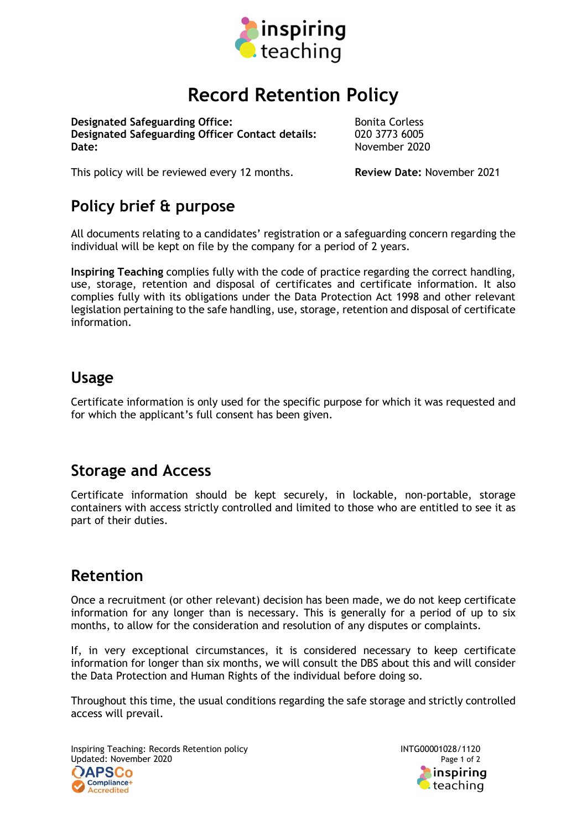

# Record Retention Policy

**Designated Safeguarding Office:** Bonita Corless Designated Safeguarding Officer Contact details: 020 3773 6005 Date: November 2020

This policy will be reviewed every 12 months. Review Date: November 2021

## Policy brief & purpose

All documents relating to a candidates' registration or a safeguarding concern regarding the individual will be kept on file by the company for a period of 2 years.

Inspiring Teaching complies fully with the code of practice regarding the correct handling, use, storage, retention and disposal of certificates and certificate information. It also complies fully with its obligations under the Data Protection Act 1998 and other relevant legislation pertaining to the safe handling, use, storage, retention and disposal of certificate information.

#### Usage

Certificate information is only used for the specific purpose for which it was requested and for which the applicant's full consent has been given.

#### Storage and Access

Certificate information should be kept securely, in lockable, non-portable, storage containers with access strictly controlled and limited to those who are entitled to see it as part of their duties.

#### Retention

Once a recruitment (or other relevant) decision has been made, we do not keep certificate information for any longer than is necessary. This is generally for a period of up to six months, to allow for the consideration and resolution of any disputes or complaints.

If, in very exceptional circumstances, it is considered necessary to keep certificate information for longer than six months, we will consult the DBS about this and will consider the Data Protection and Human Rights of the individual before doing so.

Throughout this time, the usual conditions regarding the safe storage and strictly controlled access will prevail.

Inspiring Teaching: Records Retention policy **INTG00001028/1120** Updated: November 2020 **Page 1 of 2** Page 1 of 2